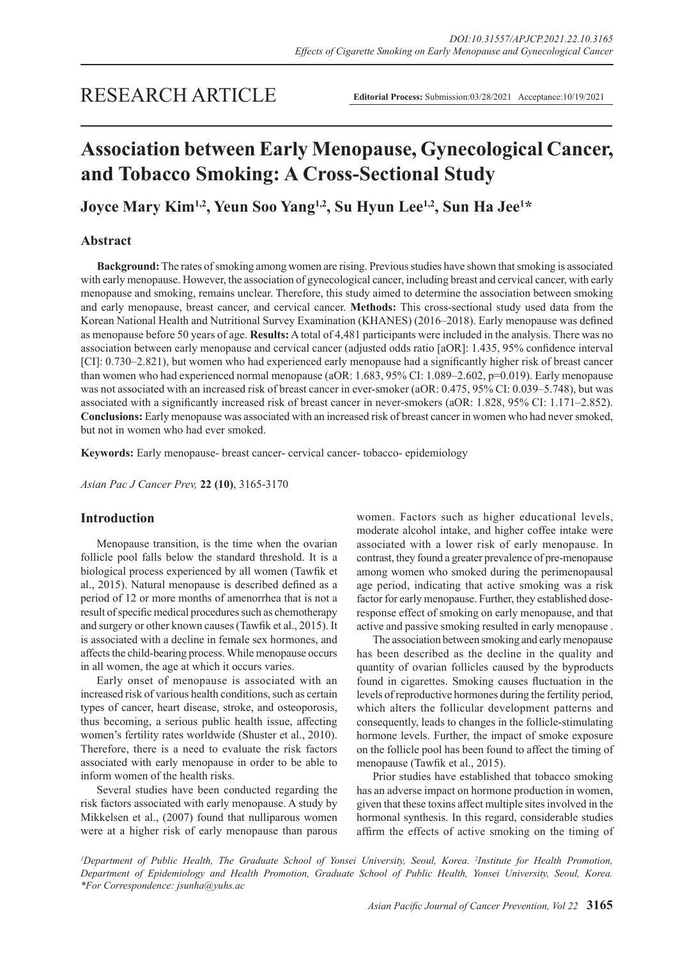# **Association between Early Menopause, Gynecological Cancer, and Tobacco Smoking: A Cross-Sectional Study**

**Joyce Mary Kim1,2, Yeun Soo Yang1,2, Su Hyun Lee1,2, Sun Ha Jee1 \***

# **Abstract**

**Background:** The rates of smoking among women are rising. Previous studies have shown that smoking is associated with early menopause. However, the association of gynecological cancer, including breast and cervical cancer, with early menopause and smoking, remains unclear. Therefore, this study aimed to determine the association between smoking and early menopause, breast cancer, and cervical cancer. **Methods:** This cross-sectional study used data from the Korean National Health and Nutritional Survey Examination (KHANES) (2016–2018). Early menopause was defined as menopause before 50 years of age. **Results:** A total of 4,481 participants were included in the analysis. There was no association between early menopause and cervical cancer (adjusted odds ratio [aOR]: 1.435, 95% confidence interval [CI]: 0.730–2.821), but women who had experienced early menopause had a significantly higher risk of breast cancer than women who had experienced normal menopause (aOR: 1.683, 95% CI: 1.089–2.602, p=0.019). Early menopause was not associated with an increased risk of breast cancer in ever-smoker (aOR: 0.475, 95% CI: 0.039–5.748), but was associated with a significantly increased risk of breast cancer in never-smokers (aOR: 1.828, 95% CI: 1.171–2.852). **Conclusions:** Early menopause was associated with an increased risk of breast cancer in women who had never smoked, but not in women who had ever smoked.

**Keywords:** Early menopause- breast cancer- cervical cancer- tobacco- epidemiology

*Asian Pac J Cancer Prev,* **22 (10)**, 3165-3170

# **Introduction**

Menopause transition, is the time when the ovarian follicle pool falls below the standard threshold. It is a biological process experienced by all women (Tawfik et al., 2015). Natural menopause is described defined as a period of 12 or more months of amenorrhea that is not a result of specific medical procedures such as chemotherapy and surgery or other known causes (Tawfik et al., 2015). It is associated with a decline in female sex hormones, and affects the child-bearing process. While menopause occurs in all women, the age at which it occurs varies.

Early onset of menopause is associated with an increased risk of various health conditions, such as certain types of cancer, heart disease, stroke, and osteoporosis, thus becoming, a serious public health issue, affecting women's fertility rates worldwide (Shuster et al., 2010). Therefore, there is a need to evaluate the risk factors associated with early menopause in order to be able to inform women of the health risks.

Several studies have been conducted regarding the risk factors associated with early menopause. A study by Mikkelsen et al., (2007) found that nulliparous women were at a higher risk of early menopause than parous

women. Factors such as higher educational levels, moderate alcohol intake, and higher coffee intake were associated with a lower risk of early menopause. In contrast, they found a greater prevalence of pre-menopause among women who smoked during the perimenopausal age period, indicating that active smoking was a risk factor for early menopause. Further, they established doseresponse effect of smoking on early menopause, and that active and passive smoking resulted in early menopause .

The association between smoking and early menopause has been described as the decline in the quality and quantity of ovarian follicles caused by the byproducts found in cigarettes. Smoking causes fluctuation in the levels of reproductive hormones during the fertility period, which alters the follicular development patterns and consequently, leads to changes in the follicle-stimulating hormone levels. Further, the impact of smoke exposure on the follicle pool has been found to affect the timing of menopause (Tawfik et al., 2015).

Prior studies have established that tobacco smoking has an adverse impact on hormone production in women, given that these toxins affect multiple sites involved in the hormonal synthesis. In this regard, considerable studies affirm the effects of active smoking on the timing of

*1 Department of Public Health, The Graduate School of Yonsei University, Seoul, Korea. 2 Institute for Health Promotion, Department of Epidemiology and Health Promotion, Graduate School of Public Health, Yonsei University, Seoul, Korea. \*For Correspondence: jsunha@yuhs.ac*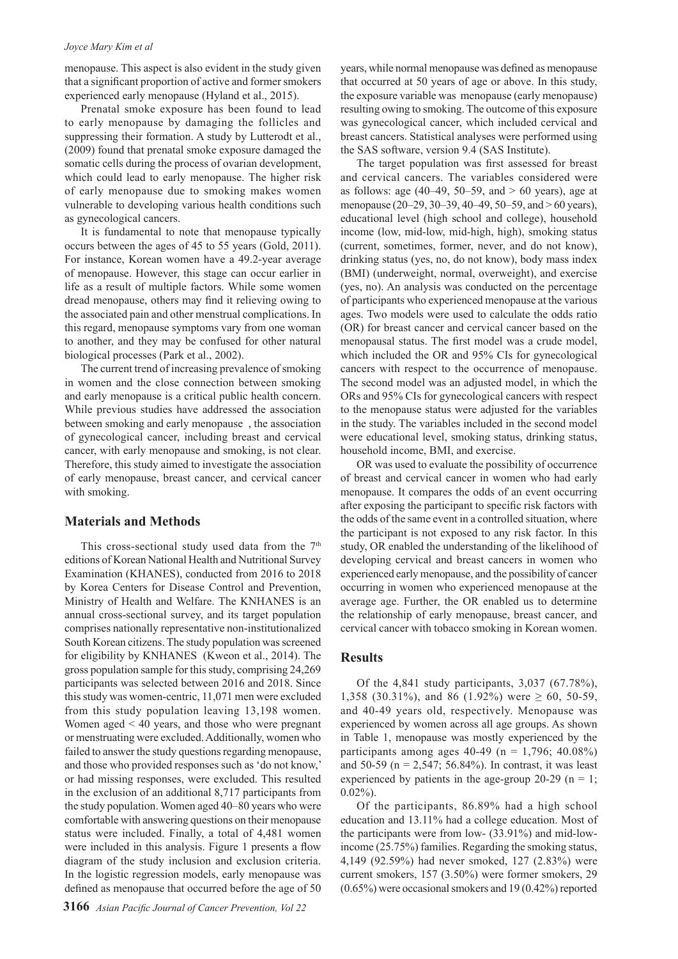#### *Joyce Mary Kim et al*

menopause. This aspect is also evident in the study given that a significant proportion of active and former smokers experienced early menopause (Hyland et al., 2015).

Prenatal smoke exposure has been found to lead to early menopause by damaging the follicles and suppressing their formation. A study by Lutterodt et al., (2009) found that prenatal smoke exposure damaged the somatic cells during the process of ovarian development, which could lead to early menopause. The higher risk of early menopause due to smoking makes women vulnerable to developing various health conditions such as gynecological cancers.

It is fundamental to note that menopause typically occurs between the ages of 45 to 55 years (Gold, 2011). For instance, Korean women have a 49.2-year average of menopause. However, this stage can occur earlier in life as a result of multiple factors. While some women dread menopause, others may find it relieving owing to the associated pain and other menstrual complications. In this regard, menopause symptoms vary from one woman to another, and they may be confused for other natural biological processes (Park et al., 2002).

The current trend of increasing prevalence of smoking in women and the close connection between smoking and early menopause is a critical public health concern. While previous studies have addressed the association between smoking and early menopause , the association of gynecological cancer, including breast and cervical cancer, with early menopause and smoking, is not clear. Therefore, this study aimed to investigate the association of early menopause, breast cancer, and cervical cancer with smoking.

## **Materials and Methods**

This cross-sectional study used data from the  $7<sup>th</sup>$ editions of Korean National Health and Nutritional Survey Examination (KHANES), conducted from 2016 to 2018 by Korea Centers for Disease Control and Prevention, Ministry of Health and Welfare. The KNHANES is an annual cross-sectional survey, and its target population comprises nationally representative non-institutionalized South Korean citizens. The study population was screened for eligibility by KNHANES (Kweon et al., 2014). The gross population sample for this study, comprising 24,269 participants was selected between 2016 and 2018. Since this study was women-centric, 11,071 men were excluded from this study population leaving 13,198 women. Women aged < 40 years, and those who were pregnant or menstruating were excluded. Additionally, women who failed to answer the study questions regarding menopause, and those who provided responses such as 'do not know,' or had missing responses, were excluded. This resulted in the exclusion of an additional 8,717 participants from the study population. Women aged 40–80 years who were comfortable with answering questions on their menopause status were included. Finally, a total of 4,481 women were included in this analysis. Figure 1 presents a flow diagram of the study inclusion and exclusion criteria. In the logistic regression models, early menopause was defined as menopause that occurred before the age of 50

years, while normal menopause was defined as menopause that occurred at 50 years of age or above. In this study, the exposure variable was menopause (early menopause) resulting owing to smoking. The outcome of this exposure was gynecological cancer, which included cervical and breast cancers. Statistical analyses were performed using the SAS software, version 9.4 (SAS Institute).

The target population was first assessed for breast and cervical cancers. The variables considered were as follows: age  $(40-49, 50-59,$  and  $> 60$  years), age at menopause (20–29, 30–39, 40–49, 50–59, and > 60 years), educational level (high school and college), household income (low, mid-low, mid-high, high), smoking status (current, sometimes, former, never, and do not know), drinking status (yes, no, do not know), body mass index (BMI) (underweight, normal, overweight), and exercise (yes, no). An analysis was conducted on the percentage of participants who experienced menopause at the various ages. Two models were used to calculate the odds ratio (OR) for breast cancer and cervical cancer based on the menopausal status. The first model was a crude model, which included the OR and 95% CIs for gynecological cancers with respect to the occurrence of menopause. The second model was an adjusted model, in which the ORs and 95% CIs for gynecological cancers with respect to the menopause status were adjusted for the variables in the study. The variables included in the second model were educational level, smoking status, drinking status, household income, BMI, and exercise.

OR was used to evaluate the possibility of occurrence of breast and cervical cancer in women who had early menopause. It compares the odds of an event occurring after exposing the participant to specific risk factors with the odds of the same event in a controlled situation, where the participant is not exposed to any risk factor. In this study, OR enabled the understanding of the likelihood of developing cervical and breast cancers in women who experienced early menopause, and the possibility of cancer occurring in women who experienced menopause at the average age. Further, the OR enabled us to determine the relationship of early menopause, breast cancer, and cervical cancer with tobacco smoking in Korean women.

#### **Results**

Of the 4,841 study participants, 3,037 (67.78%), 1,358 (30.31%), and 86 (1.92%) were  $\geq 60$ , 50-59, and 40-49 years old, respectively. Menopause was experienced by women across all age groups. As shown in Table 1, menopause was mostly experienced by the participants among ages  $40-49$  (n = 1,796; 40.08%) and 50-59 ( $n = 2,547; 56.84%$ ). In contrast, it was least experienced by patients in the age-group 20-29 ( $n = 1$ ;  $0.02\%$ ).

Of the participants, 86.89% had a high school education and 13.11% had a college education. Most of the participants were from low- (33.91%) and mid-lowincome (25.75%) families. Regarding the smoking status, 4,149 (92.59%) had never smoked, 127 (2.83%) were current smokers, 157 (3.50%) were former smokers, 29 (0.65%) were occasional smokers and 19 (0.42%) reported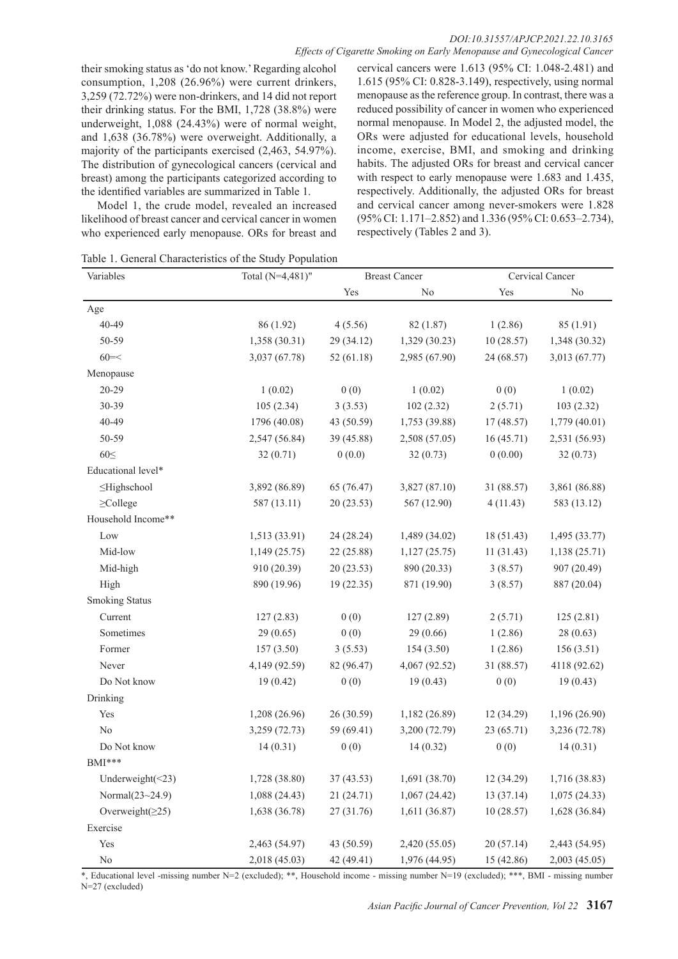their smoking status as 'do not know.' Regarding alcohol consumption, 1,208 (26.96%) were current drinkers, 3,259 (72.72%) were non-drinkers, and 14 did not report their drinking status. For the BMI, 1,728 (38.8%) were underweight, 1,088 (24.43%) were of normal weight, and 1,638 (36.78%) were overweight. Additionally, a majority of the participants exercised (2,463, 54.97%). The distribution of gynecological cancers (cervical and breast) among the participants categorized according to the identified variables are summarized in Table 1.

Model 1, the crude model, revealed an increased likelihood of breast cancer and cervical cancer in women who experienced early menopause. ORs for breast and cervical cancers were 1.613 (95% CI: 1.048-2.481) and 1.615 (95% CI: 0.828-3.149), respectively, using normal menopause as the reference group. In contrast, there was a reduced possibility of cancer in women who experienced normal menopause. In Model 2, the adjusted model, the ORs were adjusted for educational levels, household income, exercise, BMI, and smoking and drinking habits. The adjusted ORs for breast and cervical cancer with respect to early menopause were 1.683 and 1.435, respectively. Additionally, the adjusted ORs for breast and cervical cancer among never-smokers were 1.828 (95% CI: 1.171–2.852) and 1.336 (95% CI: 0.653–2.734), respectively (Tables 2 and 3).

Table 1. General Characteristics of the Study Population

| Variables               | Total (N=4,481)" | <b>Breast Cancer</b> |                | Cervical Cancer |                |
|-------------------------|------------------|----------------------|----------------|-----------------|----------------|
|                         |                  | Yes                  | N <sub>0</sub> | Yes             | N <sub>0</sub> |
| Age                     |                  |                      |                |                 |                |
| 40-49                   | 86 (1.92)        | 4(5.56)              | 82 (1.87)      | 1(2.86)         | 85 (1.91)      |
| 50-59                   | 1,358 (30.31)    | 29 (34.12)           | 1,329 (30.23)  | 10(28.57)       | 1,348 (30.32)  |
| $60 = <$                | 3,037 (67.78)    | 52(61.18)            | 2,985 (67.90)  | 24 (68.57)      | 3,013 (67.77)  |
| Menopause               |                  |                      |                |                 |                |
| $20 - 29$               | 1(0.02)          | 0(0)                 | 1(0.02)        | 0(0)            | 1(0.02)        |
| 30-39                   | 105(2.34)        | 3(3.53)              | 102(2.32)      | 2(5.71)         | 103(2.32)      |
| 40-49                   | 1796 (40.08)     | 43 (50.59)           | 1,753 (39.88)  | 17(48.57)       | 1,779 (40.01)  |
| 50-59                   | 2,547 (56.84)    | 39 (45.88)           | 2,508 (57.05)  | 16(45.71)       | 2,531 (56.93)  |
| $60 \leq$               | 32(0.71)         | 0(0.0)               | 32(0.73)       | 0(0.00)         | 32(0.73)       |
| Educational level*      |                  |                      |                |                 |                |
| ≤Highschool             | 3,892 (86.89)    | 65 (76.47)           | 3,827 (87.10)  | 31 (88.57)      | 3,861 (86.88)  |
| $\geq$ College          | 587 (13.11)      | 20(23.53)            | 567 (12.90)    | 4(11.43)        | 583 (13.12)    |
| Household Income**      |                  |                      |                |                 |                |
| Low                     | 1,513 (33.91)    | 24 (28.24)           | 1,489 (34.02)  | 18 (51.43)      | 1,495 (33.77)  |
| Mid-low                 | 1,149(25.75)     | 22 (25.88)           | 1,127(25.75)   | 11(31.43)       | 1,138(25.71)   |
| Mid-high                | 910 (20.39)      | 20(23.53)            | 890 (20.33)    | 3(8.57)         | 907 (20.49)    |
| High                    | 890 (19.96)      | 19(22.35)            | 871 (19.90)    | 3(8.57)         | 887 (20.04)    |
| <b>Smoking Status</b>   |                  |                      |                |                 |                |
| Current                 | 127(2.83)        | 0(0)                 | 127(2.89)      | 2(5.71)         | 125(2.81)      |
| Sometimes               | 29(0.65)         | 0(0)                 | 29(0.66)       | 1(2.86)         | 28(0.63)       |
| Former                  | 157(3.50)        | 3(5.53)              | 154 (3.50)     | 1(2.86)         | 156(3.51)      |
| Never                   | 4,149 (92.59)    | 82 (96.47)           | 4,067 (92.52)  | 31 (88.57)      | 4118 (92.62)   |
| Do Not know             | 19(0.42)         | 0(0)                 | 19(0.43)       | 0(0)            | 19(0.43)       |
| Drinking                |                  |                      |                |                 |                |
| Yes                     | 1,208 (26.96)    | 26 (30.59)           | 1,182 (26.89)  | 12 (34.29)      | 1,196 (26.90)  |
| No                      | 3,259 (72.73)    | 59 (69.41)           | 3,200 (72.79)  | 23 (65.71)      | 3,236 (72.78)  |
| Do Not know             | 14(0.31)         | 0(0)                 | 14(0.32)       | 0(0)            | 14(0.31)       |
| BMI***                  |                  |                      |                |                 |                |
| Underweight $(\leq 23)$ | 1,728 (38.80)    | 37(43.53)            | 1,691(38.70)   | 12(34.29)       | 1,716 (38.83)  |
| Normal $(23~24.9)$      | 1,088 (24.43)    | 21 (24.71)           | 1,067(24.42)   | 13(37.14)       | 1,075(24.33)   |
| Overweight $(\geq 25)$  | 1,638 (36.78)    | 27 (31.76)           | 1,611 (36.87)  | 10(28.57)       | 1,628 (36.84)  |
| Exercise                |                  |                      |                |                 |                |
| Yes                     | 2,463 (54.97)    | 43 (50.59)           | 2,420 (55.05)  | 20(57.14)       | 2,443 (54.95)  |
| $\rm No$                | 2,018 (45.03)    | 42 (49.41)           | 1,976 (44.95)  | 15 (42.86)      | 2,003 (45.05)  |

\*, Educational level -missing number N=2 (excluded); \*\*, Household income - missing number N=19 (excluded); \*\*\*, BMI - missing number N=27 (excluded)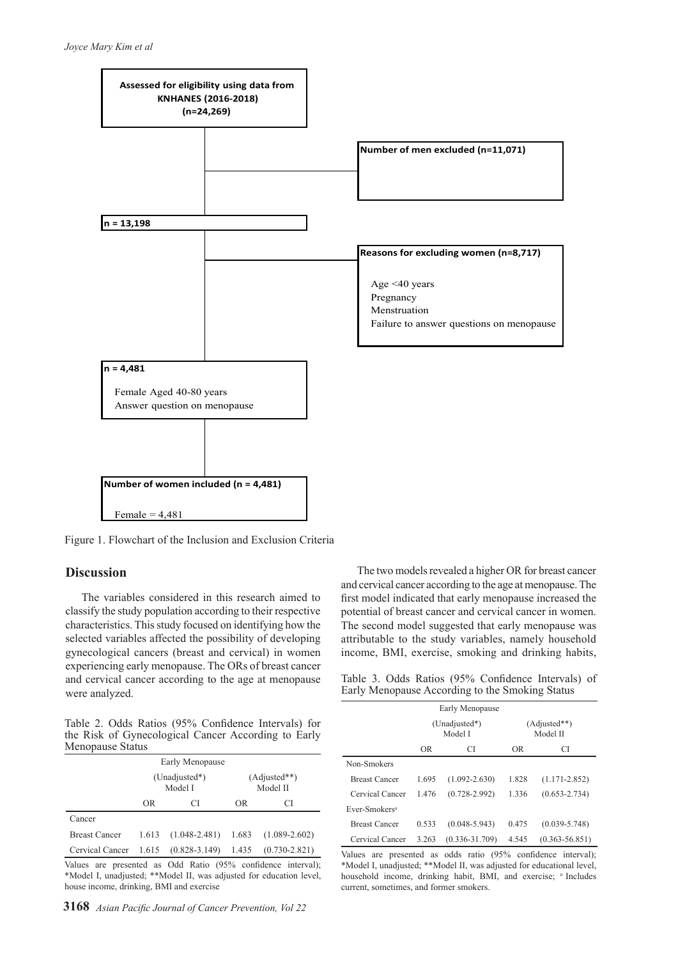

Figure 1. Flowchart of the Inclusion and Exclusion Criteria

# **Discussion**

The variables considered in this research aimed to classify the study population according to their respective characteristics. This study focused on identifying how the selected variables affected the possibility of developing gynecological cancers (breast and cervical) in women experiencing early menopause. The ORs of breast cancer and cervical cancer according to the age at menopause were analyzed.

The two models revealed a higher OR for breast cancer and cervical cancer according to the age at menopause. The first model indicated that early menopause increased the potential of breast cancer and cervical cancer in women. The second model suggested that early menopause was attributable to the study variables, namely household income, BMI, exercise, smoking and drinking habits,

Table 3. Odds Ratios (95% Confidence Intervals) of Early Menopause According to the Smoking Status

| Table 2. Odds Ratios (95% Confidence Intervals) for |  |  |  |  |
|-----------------------------------------------------|--|--|--|--|
| the Risk of Gynecological Cancer According to Early |  |  |  |  |
| Menopause Status                                    |  |  |  |  |

| Early Menopause      |                          |                   |                            |                   |  |  |
|----------------------|--------------------------|-------------------|----------------------------|-------------------|--|--|
|                      | (Unadjusted*)<br>Model I |                   | $(Adjusted**)$<br>Model II |                   |  |  |
|                      | OR                       | CI                | OR.                        | C.                |  |  |
| Cancer               |                          |                   |                            |                   |  |  |
| <b>Breast Cancer</b> | 1.613                    | $(1.048 - 2.481)$ | 1.683                      | $(1.089 - 2.602)$ |  |  |
| Cervical Cancer      | 1.615                    | $(0.828 - 3.149)$ | 1.435                      | $(0.730 - 2.821)$ |  |  |
|                      |                          |                   |                            |                   |  |  |

Values are presented as Odd Ratio (95% confidence interval); \*Model I, unadjusted; \*\*Model II, was adjusted for education level, house income, drinking, BMI and exercise

| Early Menopause           |                          |                    |                            |                    |  |  |
|---------------------------|--------------------------|--------------------|----------------------------|--------------------|--|--|
|                           | (Unadjusted*)<br>Model I |                    | $(Adiusted**)$<br>Model II |                    |  |  |
|                           | <b>OR</b>                | CI                 | <b>OR</b><br>СI            |                    |  |  |
| Non-Smokers               |                          |                    |                            |                    |  |  |
| <b>Breast Cancer</b>      | 1.695                    | $(1.092 - 2.630)$  | 1.828                      | $(1.171 - 2.852)$  |  |  |
| Cervical Cancer           | 1.476                    | $(0.728 - 2.992)$  | 1.336                      | $(0.653 - 2.734)$  |  |  |
| Ever-Smokers <sup>a</sup> |                          |                    |                            |                    |  |  |
| <b>Breast Cancer</b>      | 0.533                    | $(0.048 - 5.943)$  | 0.475                      | $(0.039 - 5.748)$  |  |  |
| Cervical Cancer           | 3.263                    | $(0.336 - 31.709)$ | 4.545                      | $(0.363 - 56.851)$ |  |  |

Values are presented as odds ratio (95% confidence interval); \*Model I, unadjusted; \*\*Model II, was adjusted for educational level, household income, drinking habit, BMI, and exercise; <sup>a</sup> Includes current, sometimes, and former smokers.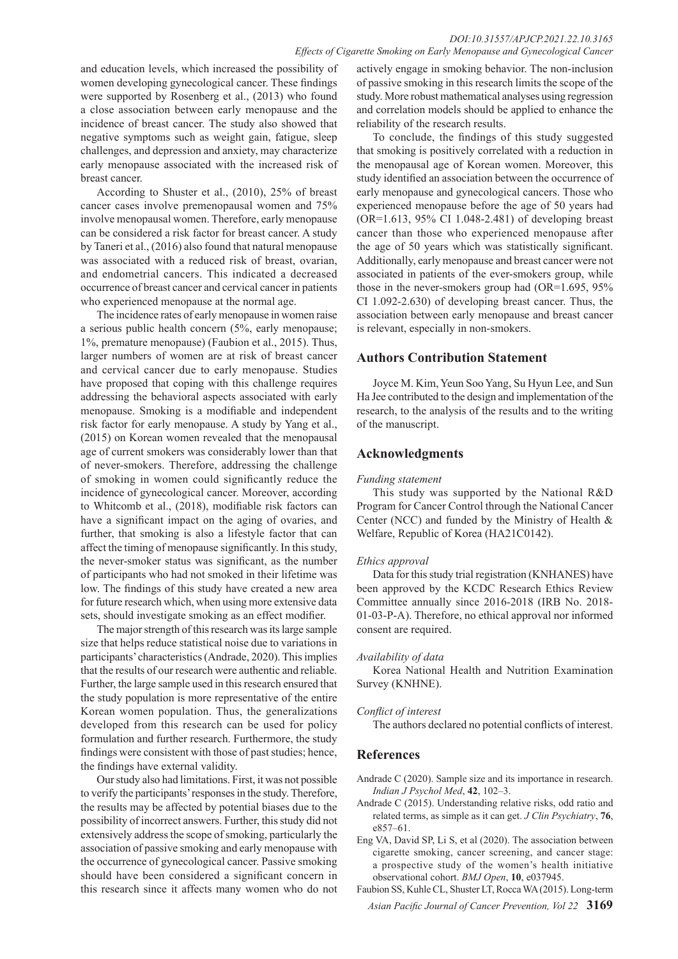and education levels, which increased the possibility of women developing gynecological cancer. These findings were supported by Rosenberg et al., (2013) who found a close association between early menopause and the incidence of breast cancer. The study also showed that negative symptoms such as weight gain, fatigue, sleep challenges, and depression and anxiety, may characterize early menopause associated with the increased risk of breast cancer.

According to Shuster et al., (2010), 25% of breast cancer cases involve premenopausal women and 75% involve menopausal women. Therefore, early menopause can be considered a risk factor for breast cancer. A study by Taneri et al., (2016) also found that natural menopause was associated with a reduced risk of breast, ovarian, and endometrial cancers. This indicated a decreased occurrence of breast cancer and cervical cancer in patients who experienced menopause at the normal age.

The incidence rates of early menopause in women raise a serious public health concern (5%, early menopause; 1%, premature menopause) (Faubion et al., 2015). Thus, larger numbers of women are at risk of breast cancer and cervical cancer due to early menopause. Studies have proposed that coping with this challenge requires addressing the behavioral aspects associated with early menopause. Smoking is a modifiable and independent risk factor for early menopause. A study by Yang et al., (2015) on Korean women revealed that the menopausal age of current smokers was considerably lower than that of never-smokers. Therefore, addressing the challenge of smoking in women could significantly reduce the incidence of gynecological cancer. Moreover, according to Whitcomb et al., (2018), modifiable risk factors can have a significant impact on the aging of ovaries, and further, that smoking is also a lifestyle factor that can affect the timing of menopause significantly. In this study, the never-smoker status was significant, as the number of participants who had not smoked in their lifetime was low. The findings of this study have created a new area for future research which, when using more extensive data sets, should investigate smoking as an effect modifier.

The major strength of this research was its large sample size that helps reduce statistical noise due to variations in participants' characteristics (Andrade, 2020). This implies that the results of our research were authentic and reliable. Further, the large sample used in this research ensured that the study population is more representative of the entire Korean women population. Thus, the generalizations developed from this research can be used for policy formulation and further research. Furthermore, the study findings were consistent with those of past studies; hence, the findings have external validity.

Our study also had limitations. First, it was not possible to verify the participants' responses in the study. Therefore, the results may be affected by potential biases due to the possibility of incorrect answers. Further, this study did not extensively address the scope of smoking, particularly the association of passive smoking and early menopause with the occurrence of gynecological cancer. Passive smoking should have been considered a significant concern in this research since it affects many women who do not

actively engage in smoking behavior. The non-inclusion of passive smoking in this research limits the scope of the study. More robust mathematical analyses using regression and correlation models should be applied to enhance the reliability of the research results.

To conclude, the findings of this study suggested that smoking is positively correlated with a reduction in the menopausal age of Korean women. Moreover, this study identified an association between the occurrence of early menopause and gynecological cancers. Those who experienced menopause before the age of 50 years had (OR=1.613, 95% CI 1.048-2.481) of developing breast cancer than those who experienced menopause after the age of 50 years which was statistically significant. Additionally, early menopause and breast cancer were not associated in patients of the ever-smokers group, while those in the never-smokers group had (OR=1.695, 95% CI 1.092-2.630) of developing breast cancer. Thus, the association between early menopause and breast cancer is relevant, especially in non-smokers.

# **Authors Contribution Statement**

Joyce M. Kim, Yeun Soo Yang, Su Hyun Lee, and Sun Ha Jee contributed to the design and implementation of the research, to the analysis of the results and to the writing of the manuscript.

# **Acknowledgments**

## *Funding statement*

This study was supported by the National R&D Program for Cancer Control through the National Cancer Center (NCC) and funded by the Ministry of Health & Welfare, Republic of Korea (HA21C0142).

## *Ethics approval*

Data for this study trial registration (KNHANES) have been approved by the KCDC Research Ethics Review Committee annually since 2016-2018 (IRB No. 2018- 01-03-P-A). Therefore, no ethical approval nor informed consent are required.

## *Availability of data*

Korea National Health and Nutrition Examination Survey (KNHNE).

## *Conflict of interest*

The authors declared no potential conflicts of interest.

# **References**

- Andrade C (2020). Sample size and its importance in research. *Indian J Psychol Med*, **42**, 102–3.
- Andrade C (2015). Understanding relative risks, odd ratio and related terms, as simple as it can get. *J Clin Psychiatry*, **76**, e857–61.
- Eng VA, David SP, Li S, et al (2020). The association between cigarette smoking, cancer screening, and cancer stage: a prospective study of the women's health initiative observational cohort. *BMJ Open*, **10**, e037945.

*Asian Pacific Journal of Cancer Prevention, Vol 22* **3169** Faubion SS, Kuhle CL, Shuster LT, Rocca WA (2015). Long-term